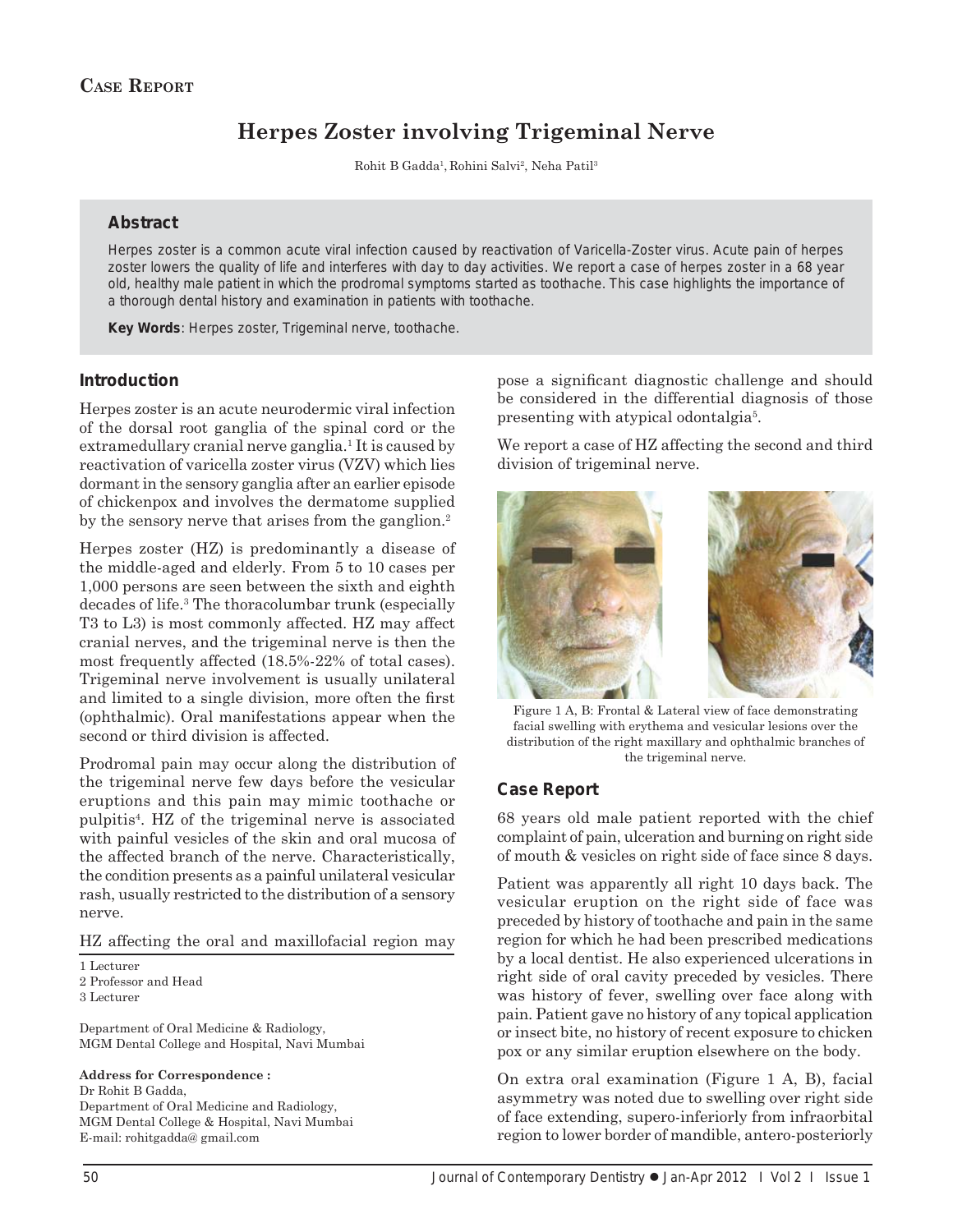# **Herpes Zoster involving Trigeminal Nerve**

Rohit B Gadda<sup>1</sup>, Rohini Salvi<sup>2</sup>, Neha Patil<sup>3</sup>

#### **Abstract**

Herpes zoster is a common acute viral infection caused by reactivation of Varicella-Zoster virus. Acute pain of herpes zoster lowers the quality of life and interferes with day to day activities. We report a case of herpes zoster in a 68 year old, healthy male patient in which the prodromal symptoms started as toothache. This case highlights the importance of a thorough dental history and examination in patients with toothache.

*Key Words*: Herpes zoster, Trigeminal nerve, toothache.

#### **Introduction**

Herpes zoster is an acute neurodermic viral infection of the dorsal root ganglia of the spinal cord or the extramedullary cranial nerve ganglia.<sup>1</sup> It is caused by reactivation of varicella zoster virus (VZV) which lies dormant in the sensory ganglia after an earlier episode of chickenpox and involves the dermatome supplied by the sensory nerve that arises from the ganglion.<sup>2</sup>

Herpes zoster (HZ) is predominantly a disease of the middle-aged and elderly. From 5 to 10 cases per 1,000 persons are seen between the sixth and eighth decades of life.3 The thoracolumbar trunk (especially T3 to L3) is most commonly affected. HZ may affect cranial nerves, and the trigeminal nerve is then the most frequently affected (18.5%-22% of total cases). Trigeminal nerve involvement is usually unilateral and limited to a single division, more often the first (ophthalmic). Oral manifestations appear when the second or third division is affected.

Prodromal pain may occur along the distribution of the trigeminal nerve few days before the vesicular eruptions and this pain may mimic toothache or pulpitis4 . HZ of the trigeminal nerve is associated with painful vesicles of the skin and oral mucosa of the affected branch of the nerve. Characteristically, the condition presents as a painful unilateral vesicular rash, usually restricted to the distribution of a sensory nerve.

HZ affecting the oral and maxillofacial region may

1 Lecturer 2 Professor and Head 3 Lecturer

Department of Oral Medicine & Radiology, MGM Dental College and Hospital, Navi Mumbai

#### **Address for Correspondence :**

Dr Rohit B Gadda, Department of Oral Medicine and Radiology, MGM Dental College & Hospital, Navi Mumbai E-mail: rohitgadda@ gmail.com

pose a significant diagnostic challenge and should be considered in the differential diagnosis of those presenting with atypical odontalgia<sup>5</sup>.

We report a case of HZ affecting the second and third division of trigeminal nerve.



Figure 1 A, B: Frontal & Lateral view of face demonstrating facial swelling with erythema and vesicular lesions over the distribution of the right maxillary and ophthalmic branches of the trigeminal nerve.

#### **Case Report**

68 years old male patient reported with the chief complaint of pain, ulceration and burning on right side of mouth & vesicles on right side of face since 8 days.

Patient was apparently all right 10 days back. The vesicular eruption on the right side of face was preceded by history of toothache and pain in the same region for which he had been prescribed medications by a local dentist. He also experienced ulcerations in right side of oral cavity preceded by vesicles. There was history of fever, swelling over face along with pain. Patient gave no history of any topical application or insect bite, no history of recent exposure to chicken pox or any similar eruption elsewhere on the body.

On extra oral examination (Figure 1 A, B), facial asymmetry was noted due to swelling over right side of face extending, supero-inferiorly from infraorbital region to lower border of mandible, antero-posteriorly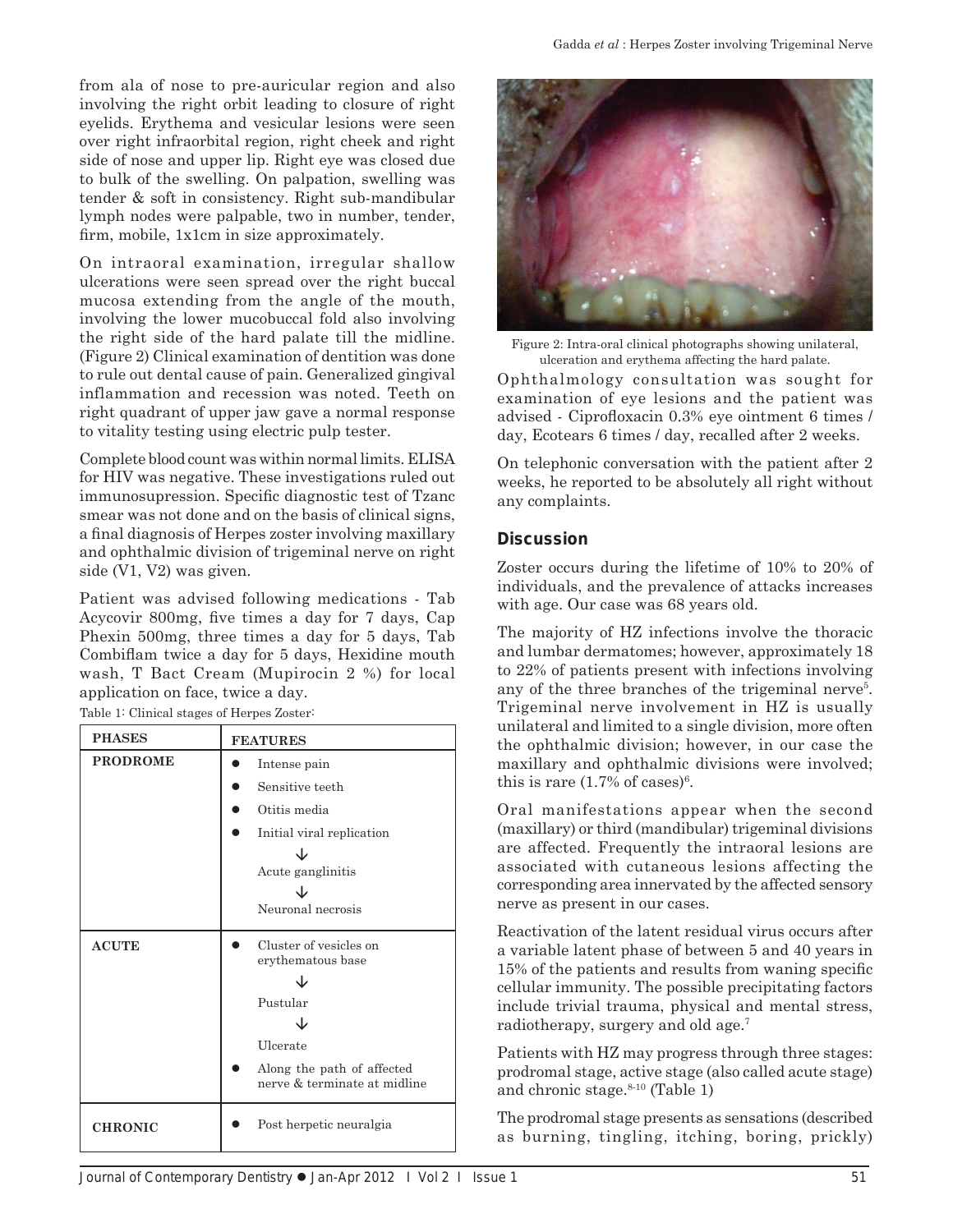from ala of nose to pre-auricular region and also involving the right orbit leading to closure of right eyelids. Erythema and vesicular lesions were seen over right infraorbital region, right cheek and right side of nose and upper lip. Right eye was closed due to bulk of the swelling. On palpation, swelling was tender & soft in consistency. Right sub-mandibular lymph nodes were palpable, two in number, tender, firm, mobile, 1x1cm in size approximately.

On intraoral examination, irregular shallow ulcerations were seen spread over the right buccal mucosa extending from the angle of the mouth, involving the lower mucobuccal fold also involving the right side of the hard palate till the midline. (Figure 2) Clinical examination of dentition was done to rule out dental cause of pain. Generalized gingival inflammation and recession was noted. Teeth on right quadrant of upper jaw gave a normal response to vitality testing using electric pulp tester.

Complete blood count was within normal limits. ELISA for HIV was negative. These investigations ruled out immunosupression. Specific diagnostic test of Tzanc smear was not done and on the basis of clinical signs, a final diagnosis of Herpes zoster involving maxillary and ophthalmic division of trigeminal nerve on right side (V1, V2) was given.

Patient was advised following medications - Tab Acycovir 800mg, five times a day for 7 days, Cap Phexin 500mg, three times a day for 5 days, Tab Combiflam twice a day for 5 days, Hexidine mouth wash, T Bact Cream (Mupirocin 2 %) for local application on face, twice a day.

Table 1: Clinical stages of Herpes Zoster:

| <b>PHASES</b>   | <b>FEATURES</b>                                                                                                                   |
|-----------------|-----------------------------------------------------------------------------------------------------------------------------------|
| <b>PRODROME</b> | Intense pain<br>Sensitive teeth<br>Otitis media<br>Initial viral replication<br>Acute ganglinitis<br>Neuronal necrosis            |
| <b>ACUTE</b>    | Cluster of vesicles on<br>erythematous base<br>Pustular<br>Ulcerate<br>Along the path of affected<br>nerve & terminate at midline |
| <b>CHRONIC</b>  | Post herpetic neuralgia                                                                                                           |



Figure 2: Intra-oral clinical photographs showing unilateral, ulceration and erythema affecting the hard palate.

Ophthalmology consultation was sought for examination of eye lesions and the patient was advised - Ciprofloxacin 0.3% eye ointment 6 times / day, Ecotears 6 times / day, recalled after 2 weeks.

On telephonic conversation with the patient after 2 weeks, he reported to be absolutely all right without any complaints.

### **Discussion**

Zoster occurs during the lifetime of 10% to 20% of individuals, and the prevalence of attacks increases with age. Our case was 68 years old.

The majority of HZ infections involve the thoracic and lumbar dermatomes; however, approximately 18 to 22% of patients present with infections involving any of the three branches of the trigeminal nerve<sup>5</sup>. Trigeminal nerve involvement in HZ is usually unilateral and limited to a single division, more often the ophthalmic division; however, in our case the maxillary and ophthalmic divisions were involved; this is rare  $(1.7\% \text{ of cases})^6$ .

Oral manifestations appear when the second (maxillary) or third (mandibular) trigeminal divisions are affected. Frequently the intraoral lesions are associated with cutaneous lesions affecting the corresponding area innervated by the affected sensory nerve as present in our cases.

Reactivation of the latent residual virus occurs after a variable latent phase of between 5 and 40 years in 15% of the patients and results from waning specific cellular immunity. The possible precipitating factors include trivial trauma, physical and mental stress, radiotherapy, surgery and old age.7

Patients with HZ may progress through three stages: prodromal stage, active stage (also called acute stage) and chronic stage. $8-10$  (Table 1)

The prodromal stage presents as sensations (described as burning, tingling, itching, boring, prickly)